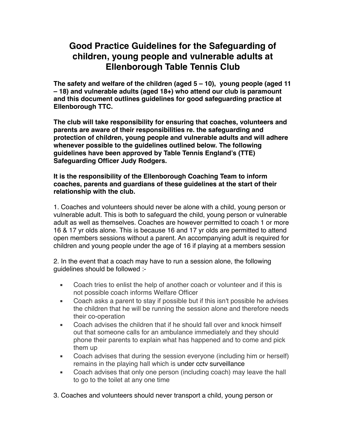# **Good Practice Guidelines for the Safeguarding of children, young people and vulnerable adults at Ellenborough Table Tennis Club**

**The safety and welfare of the children (aged 5 – 10), young people (aged 11 – 18) and vulnerable adults (aged 18+) who attend our club is paramount and this document outlines guidelines for good safeguarding practice at Ellenborough TTC.**

**The club will take responsibility for ensuring that coaches, volunteers and parents are aware of their responsibilities re. the safeguarding and protection of children, young people and vulnerable adults and will adhere whenever possible to the guidelines outlined below. The following guidelines have been approved by Table Tennis England's (TTE) Safeguarding Officer Judy Rodgers.**

## **It is the responsibility of the Ellenborough Coaching Team to inform coaches, parents and guardians of these guidelines at the start of their relationship with the club.**

1. Coaches and volunteers should never be alone with a child, young person or vulnerable adult. This is both to safeguard the child, young person or vulnerable adult as well as themselves. Coaches are however permitted to coach 1 or more 16 & 17 yr olds alone. This is because 16 and 17 yr olds are permitted to attend open members sessions without a parent. An accompanying adult is required for children and young people under the age of 16 if playing at a members session

2. In the event that a coach may have to run a session alone, the following guidelines should be followed :-

- Coach tries to enlist the help of another coach or volunteer and if this is not possible coach informs Welfare Officer
- Coach asks a parent to stay if possible but if this isn't possible he advises the children that he will be running the session alone and therefore needs their co-operation
- Coach advises the children that if he should fall over and knock himself out that someone calls for an ambulance immediately and they should phone their parents to explain what has happened and to come and pick them up
- Coach advises that during the session everyone (including him or herself) remains in the playing hall which is under cctv surveillance
- Coach advises that only one person (including coach) may leave the hall to go to the toilet at any one time
- 3. Coaches and volunteers should never transport a child, young person or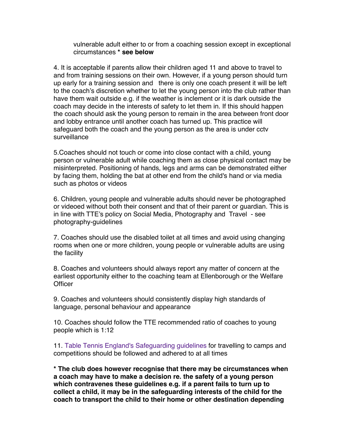vulnerable adult either to or from a coaching session except in exceptional circumstances **\* see below**

4. It is acceptable if parents allow their children aged 11 and above to travel to and from training sessions on their own. However, if a young person should turn up early for a training session and there is only one coach present it will be left to the coach's discretion whether to let the young person into the club rather than have them wait outside e.g. if the weather is inclement or it is dark outside the coach may decide in the interests of safety to let them in. If this should happen the coach should ask the young person to remain in the area between front door and lobby entrance until another coach has turned up. This practice will safeguard both the coach and the young person as the area is under cctv surveillance

5.Coaches should not touch or come into close contact with a child, young person or vulnerable adult while coaching them as close physical contact may be misinterpreted. Positioning of hands, legs and arms can be demonstrated either by facing them, holding the bat at other end from the child's hand or via media such as photos or videos

6. Children, young people and vulnerable adults should never be photographed or videoed without both their consent and that of their parent or guardian. This is in line with TTE's policy on Social Media, Photography and Travel - see [photography-guidelines](https://tabletennisengland.co.uk/our-sport/safeguarding/photography-guidelines/)

7. Coaches should use the disabled toilet at all times and avoid using changing rooms when one or more children, young people or vulnerable adults are using the facility

8. Coaches and volunteers should always report any matter of concern at the earliest opportunity either to the coaching team at Ellenborough or the Welfare **Officer** 

9. Coaches and volunteers should consistently display high standards of language, personal behaviour and appearance

10. Coaches should follow the TTE recommended ratio of coaches to young people which is 1:12

11. [Table Tennis England's Safeguarding guidelines](https://tabletennisengland.co.uk/wp-content/uploads/2021/05/12.-Safeguarding-Guidelines-on-Camps-Events-March-2021-inc-Age-of-Informed-Consent.pdf) for travelling to camps and competitions should be followed and adhered to at all times

**\* The club does however recognise that there may be circumstances when a coach may have to make a decision re. the safety of a young person which contravenes these guidelines e.g. if a parent fails to turn up to collect a child, it may be in the safeguarding interests of the child for the coach to transport the child to their home or other destination depending**